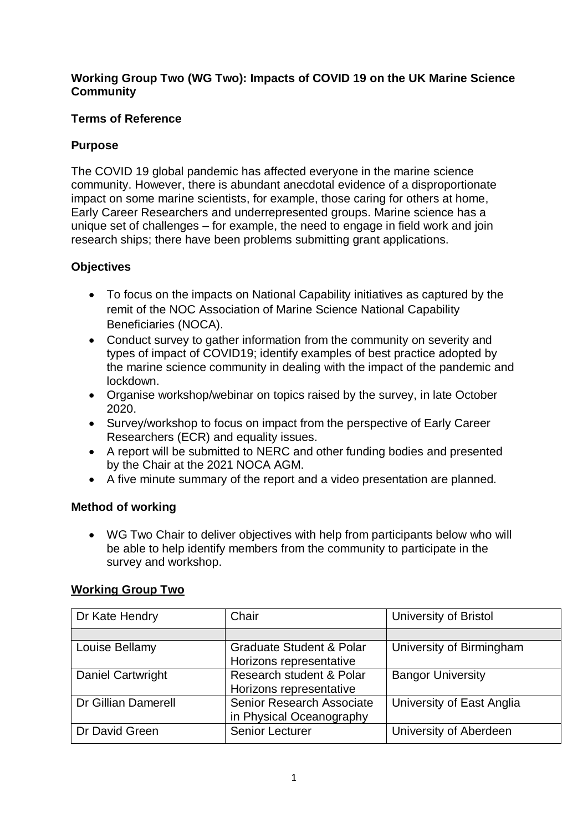### **Working Group Two (WG Two): Impacts of COVID 19 on the UK Marine Science Community**

## **Terms of Reference**

# **Purpose**

The COVID 19 global pandemic has affected everyone in the marine science community. However, there is abundant anecdotal evidence of a disproportionate impact on some marine scientists, for example, those caring for others at home, Early Career Researchers and underrepresented groups. Marine science has a unique set of challenges – for example, the need to engage in field work and join research ships; there have been problems submitting grant applications.

# **Objectives**

- To focus on the impacts on National Capability initiatives as captured by the remit of the NOC Association of Marine Science National Capability Beneficiaries (NOCA).
- Conduct survey to gather information from the community on severity and types of impact of COVID19; identify examples of best practice adopted by the marine science community in dealing with the impact of the pandemic and lockdown.
- Organise workshop/webinar on topics raised by the survey, in late October 2020.
- Survey/workshop to focus on impact from the perspective of Early Career Researchers (ECR) and equality issues.
- A report will be submitted to NERC and other funding bodies and presented by the Chair at the 2021 NOCA AGM.
- A five minute summary of the report and a video presentation are planned.

## **Method of working**

• WG Two Chair to deliver objectives with help from participants below who will be able to help identify members from the community to participate in the survey and workshop.

## **Working Group Two**

| Dr Kate Hendry           | Chair                                                          | University of Bristol     |
|--------------------------|----------------------------------------------------------------|---------------------------|
|                          |                                                                |                           |
| Louise Bellamy           | <b>Graduate Student &amp; Polar</b><br>Horizons representative | University of Birmingham  |
| <b>Daniel Cartwright</b> | Research student & Polar<br>Horizons representative            | <b>Bangor University</b>  |
| Dr Gillian Damerell      | Senior Research Associate<br>in Physical Oceanography          | University of East Anglia |
| Dr David Green           | <b>Senior Lecturer</b>                                         | University of Aberdeen    |